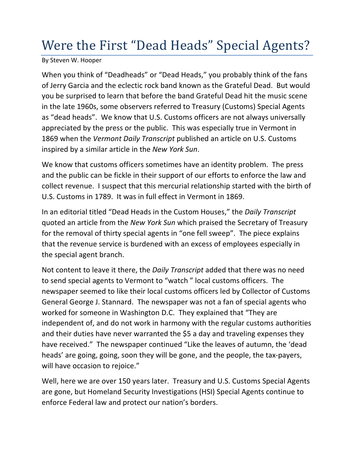## Were the First "Dead Heads" Special Agents?

By Steven W. Hooper

When you think of "Deadheads" or "Dead Heads," you probably think of the fans of Jerry Garcia and the eclectic rock band known as the Grateful Dead. But would you be surprised to learn that before the band Grateful Dead hit the music scene in the late 1960s, some observers referred to Treasury (Customs) Special Agents as "dead heads". We know that U.S. Customs officers are not always universally appreciated by the press or the public. This was especially true in Vermont in 1869 when the *Vermont Daily Transcript* published an article on U.S. Customs inspired by a similar article in the *New York Sun*.

We know that customs officers sometimes have an identity problem. The press and the public can be fickle in their support of our efforts to enforce the law and collect revenue. I suspect that this mercurial relationship started with the birth of U.S. Customs in 1789. It was in full effect in Vermont in 1869.

In an editorial titled "Dead Heads in the Custom Houses," the *Daily Transcript*  quoted an article from the *New York Sun* which praised the Secretary of Treasury for the removal of thirty special agents in "one fell sweep". The piece explains that the revenue service is burdened with an excess of employees especially in the special agent branch.

Not content to leave it there, the *Daily Transcript* added that there was no need to send special agents to Vermont to "watch " local customs officers. The newspaper seemed to like their local customs officers led by Collector of Customs General George J. Stannard. The newspaper was not a fan of special agents who worked for someone in Washington D.C. They explained that "They are independent of, and do not work in harmony with the regular customs authorities and their duties have never warranted the \$5 a day and traveling expenses they have received." The newspaper continued "Like the leaves of autumn, the 'dead heads' are going, going, soon they will be gone, and the people, the tax-payers, will have occasion to rejoice."

Well, here we are over 150 years later. Treasury and U.S. Customs Special Agents are gone, but Homeland Security Investigations (HSI) Special Agents continue to enforce Federal law and protect our nation's borders.